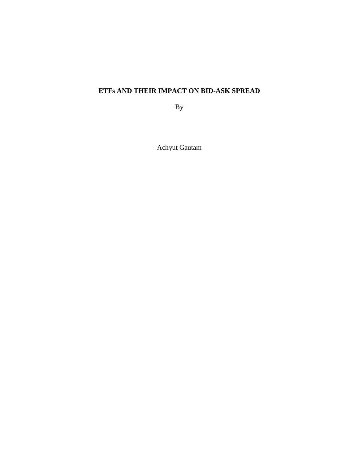# **ETFs AND THEIR IMPACT ON BID-ASK SPREAD**

By

Achyut Gautam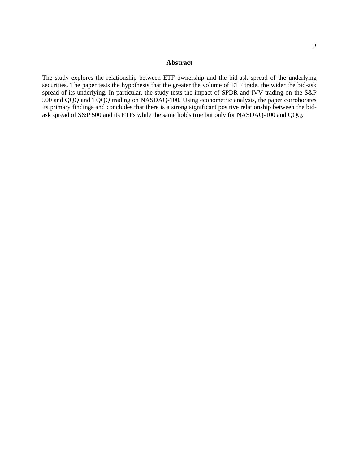## **Abstract**

The study explores the relationship between ETF ownership and the bid-ask spread of the underlying securities. The paper tests the hypothesis that the greater the volume of ETF trade, the wider the bid-ask spread of its underlying. In particular, the study tests the impact of SPDR and IVV trading on the S&P 500 and QQQ and TQQQ trading on NASDAQ-100. Using econometric analysis, the paper corroborates its primary findings and concludes that there is a strong significant positive relationship between the bidask spread of S&P 500 and its ETFs while the same holds true but only for NASDAQ-100 and QQQ.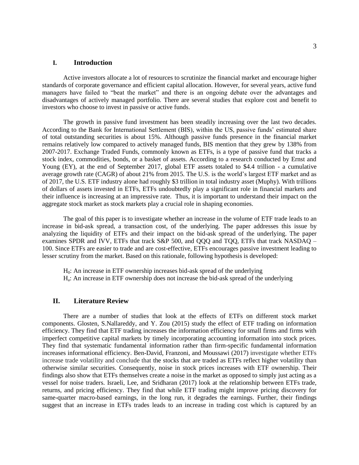## **I. Introduction**

Active investors allocate a lot of resources to scrutinize the financial market and encourage higher standards of corporate governance and efficient capital allocation. However, for several years, active fund managers have failed to "beat the market" and there is an ongoing debate over the advantages and disadvantages of actively managed portfolio. There are several studies that explore cost and benefit to investors who choose to invest in passive or active funds.

The growth in passive fund investment has been steadily increasing over the last two decades. According to the Bank for International Settlement (BIS), within the US, passive funds' estimated share of total outstanding securities is about 15%. Although passive funds presence in the financial market remains relatively low compared to actively managed funds, BIS mention that they grew by 138% from 2007-2017. Exchange Traded Funds, commonly known as ETFs, is a type of passive fund that tracks a stock index, commodities, bonds, or a basket of assets. According to a research conducted by Ernst and Young (EY), at the end of September 2017, global ETF assets totaled to \$4.4 trillion - a cumulative average growth rate (CAGR) of about 21% from 2015. The U.S. is the world's largest ETF market and as of 2017, the U.S. ETF industry alone had roughly \$3 trillion in total industry asset (Muphy). With trillions of dollars of assets invested in ETFs, ETFs undoubtedly play a significant role in financial markets and their influence is increasing at an impressive rate. Thus, it is important to understand their impact on the aggregate stock market as stock markets play a crucial role in shaping economies.

The goal of this paper is to investigate whether an increase in the volume of ETF trade leads to an increase in bid-ask spread, a transaction cost, of the underlying. The paper addresses this issue by analyzing the liquidity of ETFs and their impact on the bid-ask spread of the underlying. The paper examines SPDR and IVV, ETFs that track S&P 500, and QQQ and TQQ, ETFs that track NASDAQ – 100. Since ETFs are easier to trade and are cost-effective, ETFs encourages passive investment leading to lesser scrutiny from the market. Based on this rationale, following hypothesis is developed:

H0: An increase in ETF ownership increases bid-ask spread of the underlying Ha : An increase in ETF ownership does not increase the bid-ask spread of the underlying

#### **II. Literature Review**

There are a number of studies that look at the effects of ETFs on different stock market components. Glosten, S.Nallareddy, and Y. Zou (2015) study the effect of ETF trading on information efficiency. They find that ETF trading increases the information efficiency for small firms and firms with imperfect competitive capital markets by timely incorporating accounting information into stock prices. They find that systematic fundamental information rather than firm-specific fundamental information increases informational efficiency. Ben-David, Franzoni, and Moussawi (2017) investigate whether ETFs increase trade volatility and conclude that the stocks that are traded as ETFs reflect higher volatility than otherwise similar securities. Consequently, noise in stock prices increases with ETF ownership. Their findings also show that ETFs themselves create a noise in the market as opposed to simply just acting as a vessel for noise traders. Israeli, Lee, and Sridharan (2017) look at the relationship between ETFs trade, returns, and pricing efficiency. They find that while ETF trading might improve pricing discovery for same-quarter macro-based earnings, in the long run, it degrades the earnings. Further, their findings suggest that an increase in ETFs trades leads to an increase in trading cost which is captured by an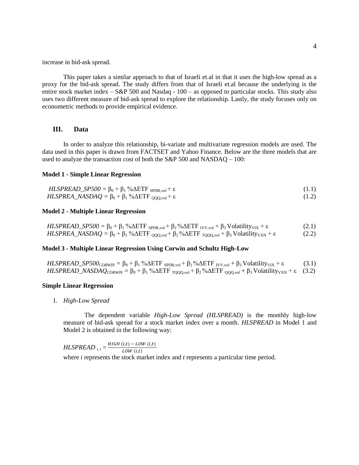increase in bid-ask spread.

This paper takes a similar approach to that of Israeli et.al in that it uses the high-low spread as a proxy for the bid-ask spread. The study differs from that of Israeli et.al because the underlying is the entire stock market index – S&P 500 and Nasdaq - 100 – as opposed to particular stocks. This study also uses two different measure of bid-ask spread to explore the relationship. Lastly, the study focuses only on econometric methods to provide empirical evidence.

## **III. Data**

In order to analyze this relationship, bi-variate and multivariate regression models are used. The data used in this paper is drawn from FACTSET and Yahoo Finance. Below are the three models that are used to analyze the transaction cost of both the S&P 500 and NASDAQ – 100:

### **Model 1 - Simple Linear Regression**

| $HLSPREAD\_SP500 = \beta_0 + \beta_1 \% \Delta ETF_{SPDR, vol} + \varepsilon$ | (1.1) |
|-------------------------------------------------------------------------------|-------|
|                                                                               |       |

$$
HLSPREA\_NASDAQ = \beta_0 + \beta_1 \sqrt[6]{\Delta ETF_{QQQ, vol}} + \varepsilon
$$
\n(1.2)

#### **Model 2 - Multiple Linear Regression**

| $HLSPREAD\_SP500 = \beta_0 + \beta_1 \% \Delta ETF_{SPDR, vol} + \beta_2 \% \Delta ETF_{IVV, vol} + \beta_3 Volatility_{VIX} + \varepsilon$                                        | (2.1) |
|------------------------------------------------------------------------------------------------------------------------------------------------------------------------------------|-------|
| <i>HLSPREA_NASDAQ</i> = $\beta_0 + \beta_1$ % $\Delta$ ETF <sub>QQQ,vol</sub> + $\beta_2$ % $\Delta$ ETF <sub>TQQQ,vol</sub> + $\beta_3$ Volatility <sub>VXN</sub> + $\varepsilon$ | (2.2) |

## **Model 3 - Multiple Linear Regression Using Corwin and Schultz High-Low**

 $\textit{HLSPREAD\_SP500}_{CORWIN} = \beta_0 + \beta_1 \% \Delta \text{ETF}_{SPDR, vol} + \beta_2 \% \Delta \text{ETF}_{IVV, vol} + \beta_3 \text{Volatility}_{VIX} + \varepsilon$  (3.1) *HLSPREAD\_NASDAQ<sub>CORWIN</sub>* =  $\beta_0 + \beta_1$  % $\Delta ETF_{TQQQ, vol} + \beta_2$ % $\Delta ETF_{QQQ, vol} + \beta_3$  Volatility<sub>VXN</sub> + ε (3.2)

#### **Simple Linear Regression**

1. *High-Low Spread*

The dependent variable *High-Low Spread (HLSPREAD)* is the monthly high-low measure of bid-ask spread for a stock market index over a month. *HLSPREAD* in Model 1 and Model 2 is obtained in the following way:

 $HLSPREAD_{i,t} = \frac{HIGH(i,t) - LOW(i,t)}{LOW(i,t)}$  $LOW(i,t)$ where *i* represents the stock market index and *t* represents a particular time period.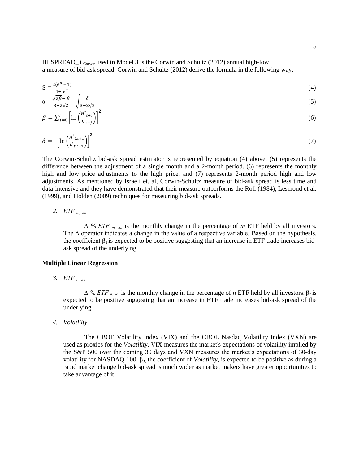HLSPREAD<sub>-</sub> i <sub>Corwin</sub> used in Model 3 is the Corwin and Schultz (2012) annual high-low a measure of bid-ask spread. Corwin and Schultz (2012) derive the formula in the following way:

$$
S = \frac{2(e^{\alpha} - 1)}{1 + e^{\alpha}}
$$
 (4)

$$
\alpha = \frac{\sqrt{2\beta - \beta}}{3 - 2\sqrt{2}} - \sqrt{\frac{\delta}{3 - 2\sqrt{2}}}
$$
\n
$$
\beta = \nabla^i \left[ \ln \left( \frac{H^2 t + j}{2} \right) \right]^2
$$
\n(6)

$$
\beta = \sum_{j=0}^{i} \left[ \ln \left( \frac{n}{\sum_{t=j}^{i}} \right) \right] \tag{6}
$$

$$
\delta = \left[ \ln \left( \frac{H^{\circ}_{t,t+1}}{L^{\circ}_{t,t+1}} \right) \right]^2 \tag{7}
$$

The Corwin-Schultz bid-ask spread estimator is represented by equation (4) above. (5) represents the difference between the adjustment of a single month and a 2-month period. (6) represents the monthly high and low price adjustments to the high price, and (7) represents 2-month period high and low adjustments. As mentioned by Israeli et. al, Corwin-Schultz measure of bid-ask spread is less time and data-intensive and they have demonstrated that their measure outperforms the Roll (1984), Lesmond et al. (1999), and Holden (2009) techniques for measuring bid-ask spreads.

*2. ETF m, vol*

*∆ % ETF m, vol* is the monthly change in the percentage of *m* ETF held by all investors. The ∆ operator indicates a change in the value of a respective variable. Based on the hypothesis, the coefficient  $\beta_1$  is expected to be positive suggesting that an increase in ETF trade increases bidask spread of the underlying.

#### **Multiple Linear Regression**

*3. ETF n, vol* 

 $\Delta$  % *ETF n*, *vol* is the monthly change in the percentage of *n* ETF held by all investors. β2 is expected to be positive suggesting that an increase in ETF trade increases bid-ask spread of the underlying.

*4. Volatility* 

The CBOE Volatility Index (VIX) and the CBOE Nasdaq Volatility Index (VXN) are used as proxies for the *Volatility*. VIX measures the market's expectations of volatility implied by the S&P 500 over the coming 30 days and VXN measures the market's expectations of 30-day volatility for NASDAQ-100.  $\beta_3$  the coefficient of *Volatility*, is expected to be positive as during a rapid market change bid-ask spread is much wider as market makers have greater opportunities to take advantage of it.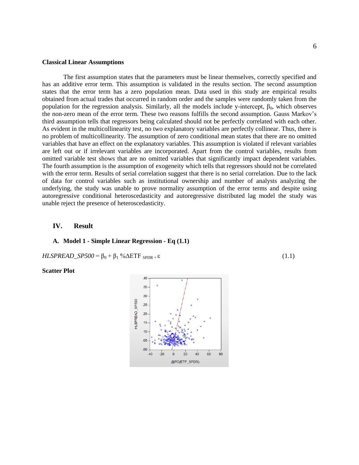#### **Classical Linear Assumptions**

The first assumption states that the parameters must be linear themselves, correctly specified and has an additive error term. This assumption is validated in the results section. The second assumption states that the error term has a zero population mean. Data used in this study are empirical results obtained from actual trades that occurred in random order and the samples were randomly taken from the population for the regression analysis. Similarly, all the models include y-intercept,  $\beta_0$ , which observes the non-zero mean of the error term. These two reasons fulfills the second assumption. Gauss Markov's third assumption tells that regressors being calculated should not be perfectly correlated with each other. As evident in the multicollinearity test, no two explanatory variables are perfectly collinear. Thus, there is no problem of multicollinearity. The assumption of zero conditional mean states that there are no omitted variables that have an effect on the explanatory variables. This assumption is violated if relevant variables are left out or if irrelevant variables are incorporated. Apart from the control variables, results from omitted variable test shows that are no omitted variables that significantly impact dependent variables. The fourth assumption is the assumption of exogeneity which tells that regressors should not be correlated with the error term. Results of serial correlation suggest that there is no serial correlation. Due to the lack of data for control variables such as institutional ownership and number of analysts analyzing the underlying, the study was unable to prove normality assumption of the error terms and despite using autoregressive conditional heteroscedasticity and autoregressive distributed lag model the study was unable reject the presence of heteroscedasticity.

#### **IV. Result**

#### **A. Model 1 - Simple Linear Regression - Eq (1.1)**

 $HLSPREAD\_SP500 = \beta_0 + \beta_1 \% \Delta ETF_{SPDR + \epsilon}$  (1.1)

## **Scatter Plot**

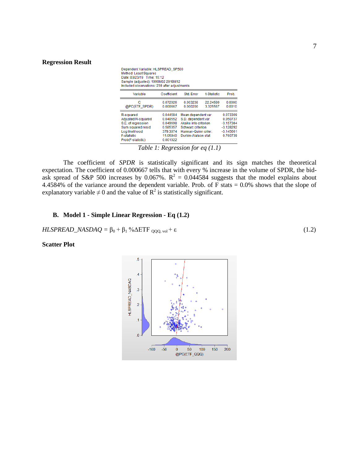#### **Regression Result**

| Dependent Variable: HLSPREAD SP500<br>Method: Least Squares<br>Date: 03/23/19 Time: 15:12<br>Sample (adjusted): 1999M02 2018M12<br>Included observations: 239 after adjustments |                                                                                                                                         |                                                                                  |                                                                                                                                      |                      |                                                                               |  |
|---------------------------------------------------------------------------------------------------------------------------------------------------------------------------------|-----------------------------------------------------------------------------------------------------------------------------------------|----------------------------------------------------------------------------------|--------------------------------------------------------------------------------------------------------------------------------------|----------------------|-------------------------------------------------------------------------------|--|
|                                                                                                                                                                                 | Variable                                                                                                                                | Coefficient                                                                      | Std. Error                                                                                                                           | t-Statistic          | Prob.                                                                         |  |
|                                                                                                                                                                                 | с<br>@PC(ETF SPDR)                                                                                                                      | 0.072026<br>0.000667                                                             | 0.003238<br>0.000200                                                                                                                 | 22 24580<br>3.325567 | 0.0000<br>0.0010                                                              |  |
|                                                                                                                                                                                 | R-squared<br>Adjusted R-squared<br>S.E. of regression<br>Sum squared resid<br>Log likelihood<br><b>F-statistic</b><br>Prob(F-statistic) | 0.044584<br>0.040552<br>0.049698<br>0.585357<br>379.3074<br>11.05940<br>0.001022 | Mean dependent var<br>S.D. dependent var<br>Akaike info criterion<br>Schwarz criterion<br>Hannan-Quinn criter.<br>Durbin-Watson stat |                      | 0.073309<br>0.050737<br>$-3.157384$<br>$-3.128292$<br>$-3.145661$<br>0.760739 |  |

*Table 1: Regression for eq (1.1)*

The coefficient of *SPDR* is statistically significant and its sign matches the theoretical expectation. The coefficient of 0.000667 tells that with every % increase in the volume of SPDR, the bidask spread of S&P 500 increases by 0.067%.  $R^2 = 0.044584$  suggests that the model explains about 4.4584% of the variance around the dependent variable. Prob. of F stats  $= 0.0\%$  shows that the slope of explanatory variable  $\neq 0$  and the value of  $\mathbb{R}^2$  is statistically significant.

## **B. Model 1 - Simple Linear Regression - Eq (1.2)**

$$
HLSPREAD\_NASDAQ = \beta_0 + \beta_1 \% \Delta ETF_{QQQ, vol} + \varepsilon
$$
\n(1.2)

## **Scatter Plot**

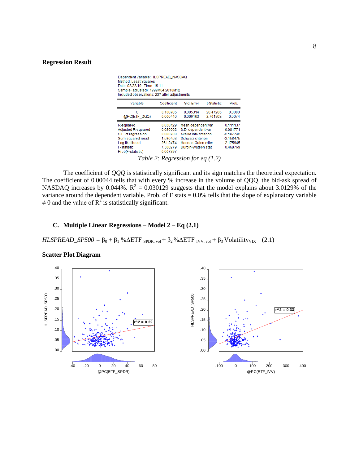#### **Regression Result**

| Dependent Variable: HLSPREAD_NASDAQ<br>Method: Least Squares<br>Date: 03/23/19 Time: 15:11<br>Sample (adjusted): 1999M04 2018M12<br>Included observations: 237 after adjustments |                                                                                  |                                                                                                                                                                            |                      |                                                                               |
|----------------------------------------------------------------------------------------------------------------------------------------------------------------------------------|----------------------------------------------------------------------------------|----------------------------------------------------------------------------------------------------------------------------------------------------------------------------|----------------------|-------------------------------------------------------------------------------|
| Variable                                                                                                                                                                         | Coefficient                                                                      | Std. Error                                                                                                                                                                 | t-Statistic          | Prob.                                                                         |
| с<br>@PC(ETF_QQQ)                                                                                                                                                                | 0.108785<br>0.000440                                                             | 0.005314<br>0.000163                                                                                                                                                       | 20.47206<br>2.701903 | 0.0000<br>0.0074                                                              |
| R-squared<br>Adjusted R-squared<br>S.E. of regression<br>Sum squared resid<br>Log likelihood<br><b>F-statistic</b><br>Prob(F-statistic)                                          | 0.030129<br>0.026002<br>0.080700<br>1.530453<br>261.2474<br>7.300279<br>0.007397 | Mean dependent var<br>S.D. dependent var<br>Akaike info criterion<br>Schwarz criterion<br>Hannan-Quinn criter.<br>Durbin-Watson stat<br>Table 2: Regression for eq $(1.2)$ |                      | 0.111137<br>0.081771<br>$-2.187742$<br>$-2.158475$<br>$-2.175945$<br>0.468769 |

The coefficient of *QQQ* is statistically significant and its sign matches the theoretical expectation. The coefficient of 0.00044 tells that with every % increase in the volume of QQQ, the bid-ask spread of NASDAQ increases by 0.044%.  $R^2 = 0.030129$  suggests that the model explains about 3.0129% of the variance around the dependent variable. Prob. of F stats =  $0.0\%$  tells that the slope of explanatory variable  $\neq$  0 and the value of R<sup>2</sup> is statistically significant.

## **C. Multiple Linear Regressions – Model 2 – Eq (2.1)**

*HLSPREAD\_SP500* =  $\beta_0 + \beta_1$  %  $\Delta ETF$  <sub>SPDR, vol</sub> +  $\beta_2$  %  $\Delta ETF$  <sub>IVV, vol</sub> +  $\beta_3$  Volatility<sub>VIX</sub> (2.1)

**Scatter Plot Diagram**



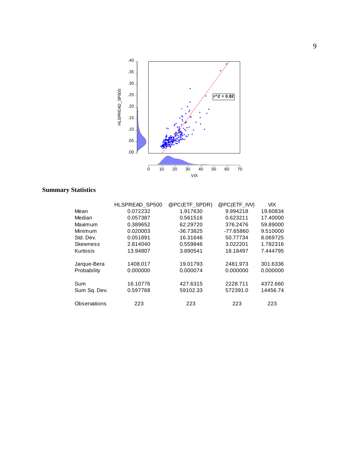

# **Summary Statistics**

|                 | HLSPREAD SP500 | @PC(ETF SPDR) | @PC(ETF_IW) | <b>VIX</b> |
|-----------------|----------------|---------------|-------------|------------|
| Mean            | 0.072232       | 1.917630      | 9.994218    | 19.60834   |
| Median          | 0.057387       | 0.561516      | 0.623211    | 17.40000   |
| Maximum         | 0.389652       | 62.29720      | 376.2476    | 59.89000   |
| Minimum         | 0.020003       | $-36.73825$   | -77.65860   | 9.510000   |
| Std. Dev.       | 0.051891       | 16.31646      | 50.77734    | 8.069725   |
| <b>Skewness</b> | 2.814040       | 0.559846      | 3.022201    | 1.782316   |
| Kurtosis        | 13.94807       | 3.890541      | 18.18497    | 7.444795   |
|                 |                |               |             |            |
| Jarque-Bera     | 1408.017       | 19.01793      | 2481.973    | 301.6336   |
| Probability     | 0.000000       | 0.000074      | 0.000000    | 0.000000   |
| Sum             | 16.10776       | 427.6315      | 2228.711    | 4372.660   |
|                 |                |               |             |            |
| Sum Sa. Dev.    | 0.597768       | 59102.33      | 572391.0    | 14456.74   |
| Observations    | 223            | 223           | 223         | 223        |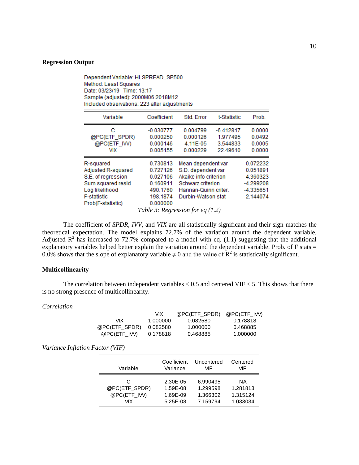## **Regression Output**

| Date: 03/23/19 Time: 13:17<br>Sample (adjusted): 2000M06 2018M12<br>Included observations: 223 after adjustments                        |                                                                                                                        |                                                                                                                                      |                                                 |                                                                         |  |
|-----------------------------------------------------------------------------------------------------------------------------------------|------------------------------------------------------------------------------------------------------------------------|--------------------------------------------------------------------------------------------------------------------------------------|-------------------------------------------------|-------------------------------------------------------------------------|--|
| Variable                                                                                                                                | Coefficient                                                                                                            | Std. Error                                                                                                                           | t-Statistic                                     | Prob.                                                                   |  |
| с<br>@PC(ETF_SPDR)<br>@PC(ETF_IW)<br>VIX                                                                                                | $-0.030777$<br>0.000250<br>0.000146<br>0.005155                                                                        | 0.004799<br>0.000126<br>4.11E-05<br>0.000229                                                                                         | $-6.412817$<br>1.977495<br>3.544833<br>22.49610 | 0.0000<br>0.0492<br>0.0005<br>0.0000                                    |  |
| R-squared<br>Adjusted R-squared<br>S.E. of regression<br>Sum squared resid<br>Log likelihood<br><b>F-statistic</b><br>Prob(F-statistic) | 0.730813<br>0.727126<br>0.027106<br>0.160911<br>490.1760<br>198.1874<br>0.000000<br>Table 3: Regression for eq $(1.2)$ | Mean dependent var<br>S.D. dependent var<br>Akaike info criterion<br>Schwarz criterion<br>Hannan-Quinn criter.<br>Durbin-Watson stat |                                                 | 0.072232<br>0.051891<br>-4.360323<br>-4.299208<br>-4.335651<br>2.144074 |  |

Dependent Variable: HLSPREAD\_SP500

Method: Least Squares

The coefficient of *SPDR, IVV,* and *VIX* are all statistically significant and their sign matches the theoretical expectation. The model explains 72.7% of the variation around the dependent variable. Adjusted  $\mathbb{R}^2$  has increased to 72.7% compared to a model with eq. (1.1) suggesting that the additional explanatory variables helped better explain the variation around the dependent variable. Prob. of F stats  $=$ 0.0% shows that the slope of explanatory variable  $\neq 0$  and the value of  $\mathbb{R}^2$  is statistically significant.

## **Multicollinearity**

The correlation between independent variables  $< 0.5$  and centered VIF  $< 5$ . This shows that there is no strong presence of multicollinearity.

## *Correlation*

|               | vіх      | @PC(ETF SPDR) | @PC(ETF IVV) |
|---------------|----------|---------------|--------------|
| VIX.          | 1.000000 | 0.082580      | 0.178818     |
| @PC(ETF SPDR) | 0.082580 | 1.000000      | 0.468885     |
| @PC(ETF IVV)  | 0.178818 | 0.468885      | 1.000000     |

*Variance Inflation Factor (VIF)* 

| Variable      | Coefficient | Uncentered | Centered |
|---------------|-------------|------------|----------|
|               | Variance    | VIF        | VIF      |
| C             | 2.30E-05    | 6.990495   | ΝA       |
| @PC(ETF SPDR) | 1.59E-08    | 1.299598   | 1.281813 |
| @PC(ETF IW)   | 1.69E-09    | 1.366302   | 1.315124 |
| VІX           | 5.25E-08    | 7.159794   | 1.033034 |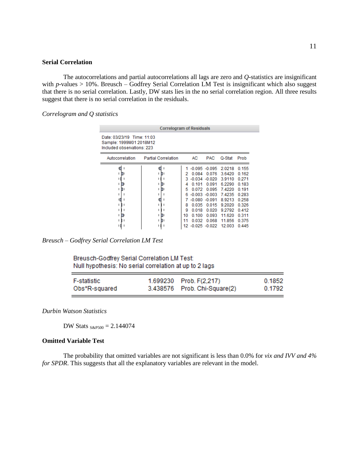#### **Serial Correlation**

The autocorrelations and partial autocorrelations all lags are zero and *Q*-statistics are insignificant with *p*-values > 10%. Breusch – Godfrey Serial Correlation LM Test is insignificant which also suggest that there is no serial correlation. Lastly, DW stats lies in the no serial correlation region. All three results suggest that there is no serial correlation in the residuals.

*Correlogram and Q statistics*

| <b>Correlogram of Residuals</b>                                                     |                            |                                              |                                                                                                     |                                                                                                     |                                                                                                           |                                                                                                 |
|-------------------------------------------------------------------------------------|----------------------------|----------------------------------------------|-----------------------------------------------------------------------------------------------------|-----------------------------------------------------------------------------------------------------|-----------------------------------------------------------------------------------------------------------|-------------------------------------------------------------------------------------------------|
| Date: 03/23/19 Time: 11:03<br>Sample: 1999M01 2018M12<br>Included observations: 223 |                            |                                              |                                                                                                     |                                                                                                     |                                                                                                           |                                                                                                 |
| Autocorrelation                                                                     | <b>Partial Correlation</b> |                                              | AC                                                                                                  | <b>PAC</b>                                                                                          | Q-Stat                                                                                                    | Prob                                                                                            |
| П                                                                                   | п<br>ш<br>п<br>п<br>ıГ     | 2<br>3.<br>4<br>5<br>6<br>8<br>9<br>10<br>11 | 0.084<br>$-0.034 - 0.020$<br>0.101<br>0.072<br>$-0.080 - 0.091$<br>0.035<br>0.018<br>0.100<br>0.032 | $-0.095 - 0.095$<br>0.076<br>0.091<br>0.095<br>$-0.003 - 0.003$<br>0.015<br>0.020<br>0.093<br>0.068 | 2.0218<br>3.6420<br>3.9110<br>6.2290<br>74220<br>7.4235<br>8.9213<br>9.2020<br>9.2792<br>11.620<br>11.856 | 0.155<br>0.162<br>0.271<br>0.183<br>0.191<br>0.283<br>0.258<br>0.326<br>0.412<br>0.311<br>0.375 |

*Breusch – Godfrey Serial Correlation LM Test* 

Breusch-Godfrey Serial Correlation LM Test: Null hypothesis: No serial correlation at up to 2 lags

| <b>F-statistic</b> | 1.699230 Prob. F(2,217)      | 0.1852 |
|--------------------|------------------------------|--------|
| Obs*R-squared      | 3.438576 Prob. Chi-Square(2) | 0.1792 |

*Durbin Watson Statistics*

DW Stats  $_{S\&P500} = 2.144074$ 

#### **Omitted Variable Test**

The probability that omitted variables are not significant is less than 0.0% for *vix and IVV and 4% for SPDR*. This suggests that all the explanatory variables are relevant in the model.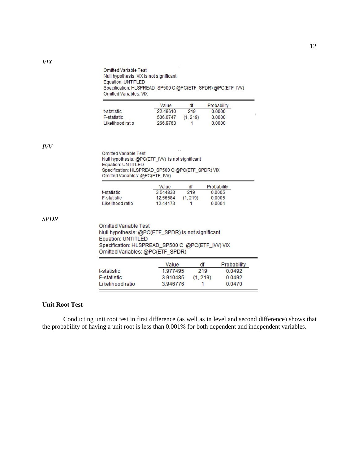**Omitted Variable Test** Null hypothesis: VIX is not significant Equation: UNTITLED Specification: HLSPREAD\_SP500 C @PC(ETF\_SPDR) @PC(ETF\_IVV) Omitted Variables: VIX  $\equiv$ 

|                    | Value    | df       | Probability |
|--------------------|----------|----------|-------------|
| t-statistic        | 22.49610 | 219      | 0.0000      |
| <b>F-statistic</b> | 506,0747 | (1, 219) | 0.0000      |
| Likelihood ratio   | 266.9763 |          | 0.0000      |

*IVV*

| $\checkmark$<br><b>Omitted Variable Test</b>      |
|---------------------------------------------------|
| Null hypothesis: @PC(ETF_IVV) is not significant  |
| Equation: UNTITLED                                |
| Specification: HLSPREAD_SP500 C @PC(ETF_SPDR) VIX |
| Omitted Variables: @PC(ETF IW)                    |
|                                                   |

|                  | Value    | df      | Probability |
|------------------|----------|---------|-------------|
| t-statistic      | 3.544833 | 219     | 0.0005      |
| F-statistic      | 12.56584 | (1.219) | 0.0005      |
| Likelihood ratio | 12.44173 |         | 0.0004      |

*SPDR*

**Omitted Variable Test** Null hypothesis: @PC(ETF\_SPDR) is not significant Equation: UNTITLED Specification: HLSPREAD\_SP500 C @PC(ETF\_IW) VIX Omitted Variables: @PC(ETF\_SPDR)

|                  | Value    | df       | Probability |
|------------------|----------|----------|-------------|
| t-statistic      | 1977495  | 219      | 0.0492      |
| F-statistic      | 3.910485 | (1, 219) | 0.0492      |
| Likelihood ratio | 3.946776 |          | 0.0470      |

## **Unit Root Test**

Conducting unit root test in first difference (as well as in level and second difference) shows that the probability of having a unit root is less than 0.001% for both dependent and independent variables.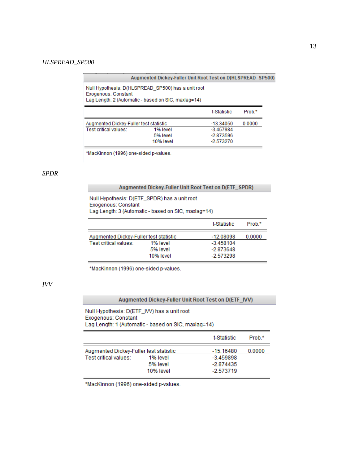#### *HLSPREAD\_SP500*

| Augmented Dickey-Fuller Unit Root Test on D(HLSPREAD SP500) |  |  |  |  |
|-------------------------------------------------------------|--|--|--|--|
|-------------------------------------------------------------|--|--|--|--|

Null Hypothesis: D(HLSPREAD\_SP500) has a unit root Exogenous: Constant Lag Length: 2 (Automatic - based on SIC, maxlag=14)

|                                        |           | t-Statistic | Prob <sup>*</sup> |
|----------------------------------------|-----------|-------------|-------------------|
| Augmented Dickey-Fuller test statistic |           | -13.34050   | 0.0000            |
| Test critical values:                  | 1% level  | $-3.457984$ |                   |
|                                        | 5% level  | $-2.873596$ |                   |
|                                        | 10% level | $-2.573270$ |                   |

\*MacKinnon (1996) one-sided p-values.

## *SPDR*

#### Augmented Dickey-Fuller Unit Root Test on D(ETF\_SPDR)

Null Hypothesis: D(ETF\_SPDR) has a unit root Exogenous: Constant Lag Length: 3 (Automatic - based on SIC, maxlag=14)

|                                        |           | t-Statistic | Prob <sup>*</sup> |
|----------------------------------------|-----------|-------------|-------------------|
| Augmented Dickey-Fuller test statistic |           | -12.08098   | 0.0000            |
| Test critical values:                  | 1% level  | $-3.458104$ |                   |
|                                        | 5% level  | -2.873648   |                   |
|                                        | 10% level | $-2.573298$ |                   |

\*MacKinnon (1996) one-sided p-values.

# *IVV*

#### Augmented Dickey-Fuller Unit Root Test on D(ETF\_IVV)

Null Hypothesis: D(ETF\_IVV) has a unit root Exogenous: Constant Lag Length: 1 (Automatic - based on SIC, maxlag=14)

|                                                                 |                                   | t-Statistic                                        | Prob.* |
|-----------------------------------------------------------------|-----------------------------------|----------------------------------------------------|--------|
| Augmented Dickey-Fuller test statistic<br>Test critical values: | 1% level<br>5% level<br>10% level | -15.16480<br>$-3.459898$<br>-2.874435<br>-2.573719 | 0.0000 |

\*MacKinnon (1996) one-sided p-values.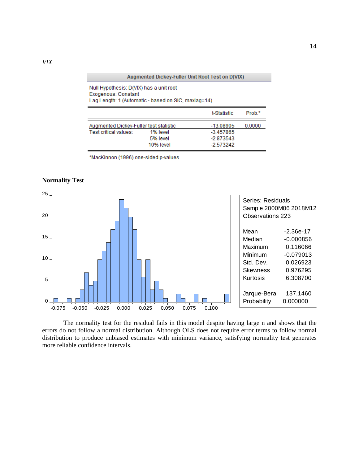| Augmented Dickey-Fuller Unit Root Test on D(VIX)                                                                      |           |             |        |  |  |
|-----------------------------------------------------------------------------------------------------------------------|-----------|-------------|--------|--|--|
| Null Hypothesis: D(VIX) has a unit root<br>Exogenous: Constant<br>Lag Length: 1 (Automatic - based on SIC, maxiag=14) |           |             |        |  |  |
|                                                                                                                       |           | t-Statistic | Prob.* |  |  |
| Augmented Dickey-Fuller test statistic                                                                                |           | -13.08905   | 0.0000 |  |  |
| Test critical values:                                                                                                 | 1% level  | -3.457865   |        |  |  |
|                                                                                                                       | 5% level  | $-2.873543$ |        |  |  |
|                                                                                                                       | 10% level | -2.573242   |        |  |  |

\*MacKinnon (1996) one-sided p-values.

## **Normality Test**



The normality test for the residual fails in this model despite having large n and shows that the errors do not follow a normal distribution. Although OLS does not require error terms to follow normal distribution to produce unbiased estimates with minimum variance, satisfying normality test generates more reliable confidence intervals.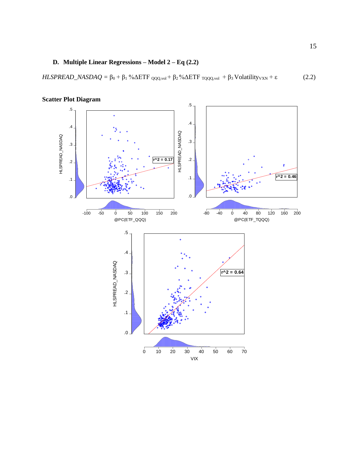# **D. Multiple Linear Regressions – Model 2 – Eq (2.2)**

*HLSPREAD\_NASDAQ* =  $\beta_0 + \beta_1$  %ΔETF <sub>QQQ,vol</sub> +  $\beta_2$  %ΔETF <sub>TQQQ,vol</sub> +  $\beta_3$  Volatility<sub>VXN</sub> + ε (2.2)



**Scatter Plot Diagram**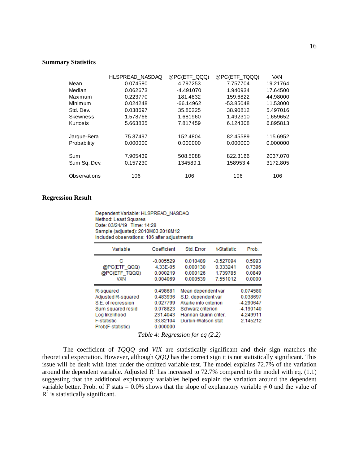#### **Summary Statistics**

|                 | HLSPREAD NASDAQ | @PC(ETF QQQ) | @PC(ETF_TQQQ) | <b>VXN</b> |
|-----------------|-----------------|--------------|---------------|------------|
| Mean            | 0.074580        | 4.797253     | 7.757704      | 19.21764   |
| Median          | 0.062673        | $-4.491070$  | 1.940934      | 17.64500   |
| Maximum         | 0.223770        | 181.4832     | 159.6822      | 44.98000   |
| Minimum         | 0.024248        | $-66.14962$  | -53.85048     | 11.53000   |
| Std. Dev.       | 0.038697        | 35.80225     | 38.90812      | 5.497016   |
| <b>Skewness</b> | 1.578766        | 1.681960     | 1.492310      | 1.659652   |
| Kurtosis        | 5.663835        | 7.817459     | 6.124308      | 6.895813   |
|                 |                 |              |               |            |
| Jarque-Bera     | 75.37497        | 152.4804     | 82.45589      | 115.6952   |
| Probability     | 0.000000        | 0.000000     | 0.000000      | 0.000000   |
|                 |                 |              |               |            |
| Sum             | 7.905439        | 508.5088     | 822.3166      | 2037.070   |
| Sum Sq. Dev.    | 0.157230        | 134589.1     | 158953.4      | 3172.805   |
|                 |                 |              |               |            |
| Observations    | 106             | 106          | 106           | 106        |

## **Regression Result**

Dependent Variable: HLSPREAD\_NASDAQ Method: Least Squares Date: 03/24/19 Time: 14:28 Sample (adjusted): 2010M03 2018M12 Included observations: 106 after adiustments

| Variable                                | Coefficient          | Std. Error            | t-Statistic | Prob.       |
|-----------------------------------------|----------------------|-----------------------|-------------|-------------|
| с                                       | $-0.005529$          | 0.010489              | $-0.527094$ | 0.5993      |
| @PC(ETF QQQ)                            | 4.33E-05             | 0.000130              | 0.333241    | 0.7396      |
| @PC(ETF TQQQ)                           | 0.000219             | 0.000126              | 1.739785    | 0.0849      |
| <b>VXN</b>                              | 0.004069             | 0.000539              | 7.551012    | 0.0000      |
| R-squared                               | 0.498681             | Mean dependent var    |             | 0.074580    |
| Adjusted R-squared                      | 0.483936             | S.D. dependent var    |             | 0.038697    |
| S.E. of regression                      | 0.027799             | Akaike info criterion |             | $-4.290647$ |
| Sum squared resid                       | 0.078823             | Schwarz criterion     |             | $-4.190140$ |
| Log likelihood                          | 231.4043             | Hannan-Quinn criter.  |             | $-4.249911$ |
| <b>F-statistic</b><br>Prob(F-statistic) | 33.82104<br>0.000000 | Durbin-Watson stat    |             | 2.145212    |

*Table 4: Regression for eq (2.2)*

The coefficient of *TQQQ a*nd *VIX* are statistically significant and their sign matches the theoretical expectation. However, although *QQQ* has the correct sign it is not statistically significant. This issue will be dealt with later under the omitted variable test. The model explains 72.7% of the variation around the dependent variable. Adjusted  $\mathbb{R}^2$  has increased to 72.7% compared to the model with eq. (1.1) suggesting that the additional explanatory variables helped explain the variation around the dependent variable better. Prob. of F stats = 0.0% shows that the slope of explanatory variable  $\neq$  0 and the value of  $R<sup>2</sup>$  is statistically significant.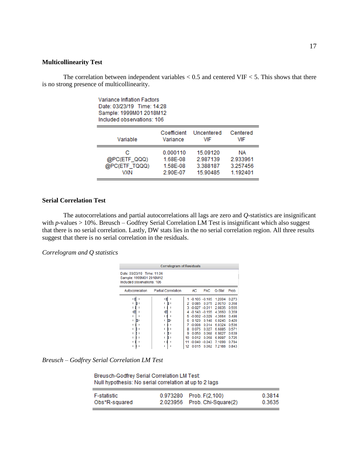#### **Multicollinearity Test**

The correlation between independent variables  $< 0.5$  and centered VIF  $< 5$ . This shows that there is no strong presence of multicollinearity.

| Variance Inflation Factors<br>Date: 03/23/19 Time: 14:28<br>Sample: 1999M01 2018M12<br>Included observations: 106 |             |            |          |  |  |  |
|-------------------------------------------------------------------------------------------------------------------|-------------|------------|----------|--|--|--|
| Variable                                                                                                          | Coefficient | Uncentered | Centered |  |  |  |
|                                                                                                                   | Variance    | VIF        | VIF      |  |  |  |
| с                                                                                                                 | 0.000110    | 15.09120   | ΝA       |  |  |  |
| @PC(ETF_QQQ)                                                                                                      | 1.68E-08    | 2.987139   | 2.933961 |  |  |  |
| @PC(ETF_TQQQ)                                                                                                     | 1.58E-08    | 3.388187   | 3.257456 |  |  |  |
| VXN                                                                                                               | 2.90E-07    | 15.90485   | 1.192401 |  |  |  |

## **Serial Correlation Test**

The autocorrelations and partial autocorrelations all lags are zero and *Q*-statistics are insignificant with *p*-values > 10%. Breusch – Godfrey Serial Correlation LM Test is insignificant which also suggest that there is no serial correlation. Lastly, DW stats lies in the no serial correlation region. All three results suggest that there is no serial correlation in the residuals.

*Correlogram and Q statistics*

| <b>Correlogram of Residuals</b>                                                     |                            |                                             |                                                                                                  |                                                                                                                                     |                                                                                                                   |                                                                                                        |
|-------------------------------------------------------------------------------------|----------------------------|---------------------------------------------|--------------------------------------------------------------------------------------------------|-------------------------------------------------------------------------------------------------------------------------------------|-------------------------------------------------------------------------------------------------------------------|--------------------------------------------------------------------------------------------------------|
| Date: 03/23/19 Time: 11:06<br>Sample: 1999M01 2018M12<br>Included observations: 106 |                            |                                             |                                                                                                  |                                                                                                                                     |                                                                                                                   |                                                                                                        |
| Autocorrelation                                                                     | <b>Partial Correlation</b> |                                             | AC                                                                                               | <b>PAC</b>                                                                                                                          | Q-Stat                                                                                                            | Prob                                                                                                   |
| п<br>г<br>ıг                                                                        | 喧                          | 2<br>4<br>5<br>6<br>7<br>8<br>9<br>10<br>12 | 0.085<br>$3 - 0.027 - 0.011$<br>0.120<br>$-0.008$<br>0.075<br>0.050<br>0012<br>$-0.040$<br>0.015 | $-0.105 - 0.105$<br>0.075<br>$-0.143 - 0.155$<br>$-0.002 - 0.029$<br>0.148<br>0.014<br>0.027<br>0.068<br>0.058<br>$-0.043$<br>0.002 | 1.2004<br>20010<br>20835<br>4.3660<br>4.3664<br>6.0245<br>6.0324<br>6.6885<br>6.9827<br>69997<br>7.1898<br>7.2188 | 0.273<br>0.368<br>0.555<br>0.359<br>0498<br>0.420<br>0.536<br>0.571<br>0.639<br>0725<br>0.784<br>0.843 |

*Breusch – Godfrey Serial Correlation LM Test* 

Breusch-Godfrey Serial Correlation LM Test: Null hypothesis: No serial correlation at up to 2 lags

| F-statistic   | 0.973280 Prob. F(2,100)      | 0.3814 |
|---------------|------------------------------|--------|
| Obs*R-squared | 2.023956 Prob. Chi-Square(2) | 0.3635 |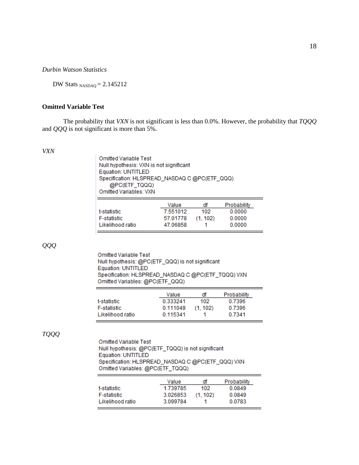*Durbin Watson Statistics* 

DW Stats  $_{NASDAO} = 2.145212$ 

## **Omitted Variable Test**

The probability that *VXN* is not significant is less than 0.0%. However, the probability that *TQQQ* and *QQQ* is not significant is more than 5%.

#### *VXN*

| <b>Omitted Variable Test</b><br>Null hypothesis: VXN is not significant<br>Equation: UNTITLED<br>Specification: HLSPREAD_NASDAQ C @PC(ETF_QQQ) |          |     |             |  |
|------------------------------------------------------------------------------------------------------------------------------------------------|----------|-----|-------------|--|
| @PC(ETF_TQQQ)<br><b>Omitted Variables: VXN</b>                                                                                                 |          |     |             |  |
|                                                                                                                                                | Value    | df  | Probability |  |
| <b><i><u>+ atatiatia</u></i></b>                                                                                                               | 7 EE1010 | 400 | n nnnn      |  |

|                    | Value    | df      | Probability |
|--------------------|----------|---------|-------------|
| t-statistic        | 7.551012 | 102     | 0.0000      |
| <b>F-statistic</b> | 57.01778 | (1.102) | 0.0000      |
| Likelihood ratio   | 47.06858 |         | 0.0000      |

*QQQ*

Omitted Variable Test Null hypothesis: @PC(ETF\_QQQ) is not significant Equation: UNTITLED Specification: HLSPREAD\_NASDAQ C @PC(ETF\_TQQQ) VXN Omitted Variables: @PC(ETF\_QQQ)  $\overline{\phantom{a}}$ 

|                    | Value    | df      | Probability |
|--------------------|----------|---------|-------------|
| t-statistic        | 0.333241 | 102     | 0.7396      |
| <b>F-statistic</b> | 0.111049 | (1.102) | 0 7396      |
| Likelihood ratio   | 0.115341 |         | 0.7341      |

## *TQQQ*

**Omitted Variable Test** Null hypothesis: @PC(ETF\_TQQQ) is not significant Equation: UNTITLED Specification: HLSPREAD\_NASDAQ C @PC(ETF\_QQQ) VXN Omitted Variables: @PC(ETF\_TQQQ)

|                    | Value    | đf      | Probability |
|--------------------|----------|---------|-------------|
| t-statistic        | 1.739785 | 102     | 0.0849      |
| <b>F-statistic</b> | 3.026853 | (1.102) | 0.0849      |
| Likelihood ratio   | 3.099784 |         | 0.0783      |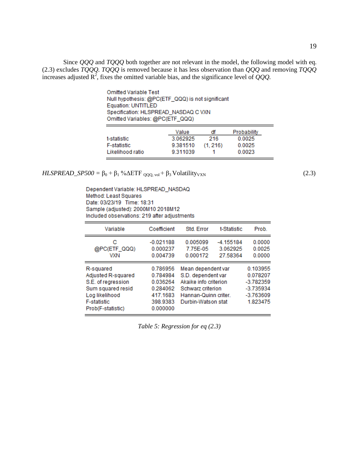Since *QQQ* and *TQQQ* both together are not relevant in the model, the following model with eq. (2.3) excludes *TQQQ. TQQQ* is removed because it has less observation than *QQQ* and removing *TQQQ*  increases adjusted  $R^2$ , fixes the omitted variable bias, and the significance level of *QQQ*.

| <b>Omitted Variable Test</b>                     |  |
|--------------------------------------------------|--|
| Null hypothesis: @PC(ETF_QQQ) is not significant |  |
| Equation: UNTITLED                               |  |
| Specification: HLSPREAD_NASDAQ C VXN             |  |
| Omitted Variables: @PC(ETF_QQQ)                  |  |
|                                                  |  |

|                    | Value    | đf      | Probability |
|--------------------|----------|---------|-------------|
| t-statistic        | 3.062925 | 216     | 0.0025      |
| <b>F-statistic</b> | 9.381510 | (1.216) | 0.0025      |
| Likelihood ratio   | 9.311039 |         | 0.0023      |

 $HLSPREAD\_SP500 = \beta_0 + \beta_1 \% \Delta ETF_{QQQ, vol} + \beta_3 Volatility_{VXN}$  (2.3)

Dependent Variable: HLSPREAD\_NASDAQ Method: Least Squares Date: 03/23/19 Time: 18:31 Sample (adjusted): 2000M10 2018M12 Included observations: 219 after adjustments

| Variable                                                                                                                                | Coefficient                                                                      | Std. Error                                                                                                                           | t-Statistic                         | Prob.                                                                         |
|-----------------------------------------------------------------------------------------------------------------------------------------|----------------------------------------------------------------------------------|--------------------------------------------------------------------------------------------------------------------------------------|-------------------------------------|-------------------------------------------------------------------------------|
| с<br>@PC(ETF_QQQ)<br>VXN                                                                                                                | $-0.021188$<br>0.000237<br>0.004739                                              | 0.005099<br>7.75E-05<br>0.000172                                                                                                     | $-4.155184$<br>3.062925<br>27.58364 | 0.0000<br>0.0025<br>0.0000                                                    |
| R-squared<br>Adjusted R-squared<br>S.E. of regression<br>Sum squared resid<br>Log likelihood<br><b>F-statistic</b><br>Prob(F-statistic) | 0.786956<br>0.784984<br>0.036264<br>0.284062<br>417.1683<br>398.9383<br>0.000000 | Mean dependent var<br>S.D. dependent var<br>Akaike info criterion<br>Schwarz criterion<br>Hannan-Quinn criter.<br>Durbin-Watson stat |                                     | 0.103955<br>0.078207<br>$-3.782359$<br>$-3.735934$<br>$-3.763609$<br>1.823475 |

*Table 5: Regression for eq (2.3)*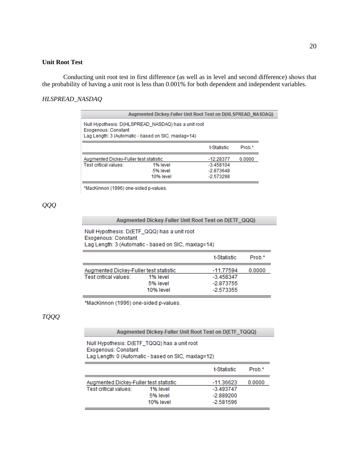#### **Unit Root Test**

Conducting unit root test in first difference (as well as in level and second difference) shows that the probability of having a unit root is less than 0.001% for both dependent and independent variables.

#### *HLSPREAD\_NASDAQ*

|                                                                                                                                   | Augmented Dickey-Fuller Unit Root Test on D(HLSPREAD NASDAQ) |                                                          |                   |  |
|-----------------------------------------------------------------------------------------------------------------------------------|--------------------------------------------------------------|----------------------------------------------------------|-------------------|--|
| Null Hypothesis: D(HLSPREAD NASDAQ) has a unit root<br>Exogenous: Constant<br>Lag Length: 3 (Automatic - based on SIC, maxlag=14) |                                                              |                                                          |                   |  |
|                                                                                                                                   |                                                              | t-Statistic                                              | Prob <sup>*</sup> |  |
| Augmented Dickey-Fuller test statistic<br>Test critical values:                                                                   | 1% level<br>5% level<br>10% level                            | $-12.28377$<br>$-3.458104$<br>$-2.873648$<br>$-2.573298$ | 0.0000            |  |

\*MacKinnon (1996) one-sided p-values.

# *QQQ*

## Augmented Dickey-Fuller Unit Root Test on D(ETF\_QQQ)

Null Hypothesis: D(ETF\_QQQ) has a unit root Exogenous: Constant Lag Length: 3 (Automatic - based on SIC, maxlag=14)

|                                        |           | t-Statistic | Prob <sup>*</sup> |
|----------------------------------------|-----------|-------------|-------------------|
| Augmented Dickey-Fuller test statistic |           | $-11.77594$ | 0.0000            |
| Test critical values:                  | 1% level  | $-3.458347$ |                   |
|                                        | 5% level  | -2.873755   |                   |
|                                        | 10% level | -2.573355   |                   |

\*MacKinnon (1996) one-sided p-values.

# *TQQQ*

#### Augmented Dickey-Fuller Unit Root Test on D(ETF\_TQQQ)

Null Hypothesis: D(ETF\_TQQQ) has a unit root Exogenous: Constant Lag Length: 0 (Automatic - based on SIC, maxlag=12)

|                                                                 |                      | t-Statistic                             | Prob.* |
|-----------------------------------------------------------------|----------------------|-----------------------------------------|--------|
| Augmented Dickey-Fuller test statistic<br>Test critical values: | 1% level<br>5% level | -11.36623<br>$-3.493747$<br>$-2.889200$ | 0.0000 |
|                                                                 | 10% level            | $-2.581596$                             |        |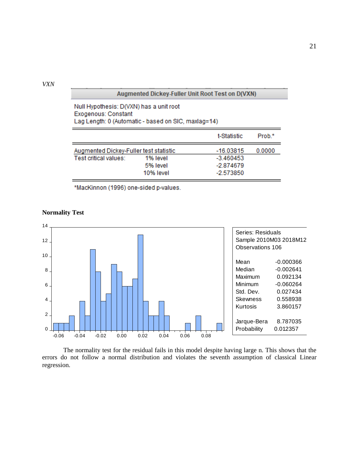*VXN*

## Augmented Dickey-Fuller Unit Root Test on D(VXN)

| Null Hypothesis: D(VXN) has a unit root             |
|-----------------------------------------------------|
| Exogenous: Constant                                 |
| Lag Length: 0 (Automatic - based on SIC, maxlag=14) |

|                                        |           | t-Statistic | Prob.* |
|----------------------------------------|-----------|-------------|--------|
| Augmented Dickey-Fuller test statistic |           | $-16.03815$ | 0.0000 |
| Test critical values:                  | 1% level  | $-3.460453$ |        |
|                                        | 5% level  | $-2.874679$ |        |
|                                        | 10% level | -2.573850   |        |

\*MacKinnon (1996) one-sided p-values.



#### **Normality Test**

The normality test for the residual fails in this model despite having large n. This shows that the errors do not follow a normal distribution and violates the seventh assumption of classical Linear regression.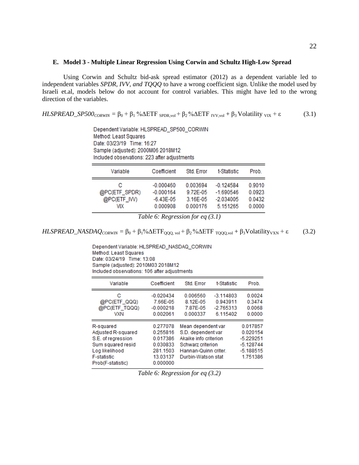#### **E. Model 3 - Multiple Linear Regression Using Corwin and Schultz High-Low Spread**

Using Corwin and Schultz bid-ask spread estimator (2012) as a dependent variable led to independent variables *SPDR, IVV, and TQQQ* to have a wrong coefficient sign. Unlike the model used by Israeli et.al, models below do not account for control variables. This might have led to the wrong direction of the variables.

 $HLSPREAD\_SP500_{CORWIN} = \beta_0 + \beta_1 \% \Delta ETF_{SPDR, vol} + \beta_2 \% \Delta ETF_{IVV, vol} + \beta_3 Volatility_{VIX} + \epsilon$  (3.1)

Dependent Variable: HLSPREAD\_SP500\_CORWIN Method: Least Squares Date: 03/23/19 Time: 16:27 Sample (adjusted): 2000M06 2018M12 Included observations: 223 after adjustments

| Variable                                 | Coefficient                                         | Std. Error                                   | t-Statistic                                           | Prob.                                |
|------------------------------------------|-----------------------------------------------------|----------------------------------------------|-------------------------------------------------------|--------------------------------------|
| с<br>@PC(ETF_SPDR)<br>@PC(ETF_IW)<br>VIX | $-0.000460$<br>$-0.000164$<br>-6.43E-05<br>0.000908 | 0.003694<br>9.72E-05<br>3.16E-05<br>0.000176 | $-0.124584$<br>$-1.690546$<br>$-2.034005$<br>5.151265 | 0.9010<br>0.0923<br>0.0432<br>0.0000 |

*Table 6: Regression for eq (3.1)*

 $HLSPREAD\_NASDAQ_{CORWIN} = \beta_0 + \beta_1\% \Delta ETF_{QQQ, vol} + \beta_2\% \Delta ETF_{TOQQ, vol} + \beta_3 \text{Volatility}_{VXN} + \epsilon$  (3.2)

Dependent Variable: HLSPREAD NASDAQ CORWIN Method: Least Squares Date: 03/24/19 Time: 13:08 Sample (adjusted): 2010M03 2018M12 Included observations: 106 after adjustments

| Variable                                                                                                                                | Coefficient                                                                      | Std. Error                                                                                                                           | t-Statistic                                        | Prob.                                                                         |
|-----------------------------------------------------------------------------------------------------------------------------------------|----------------------------------------------------------------------------------|--------------------------------------------------------------------------------------------------------------------------------------|----------------------------------------------------|-------------------------------------------------------------------------------|
| с<br>@PC(ETF_QQQ)<br>@PC(ETF_TQQQ)<br><b>VXN</b>                                                                                        | $-0.020434$<br>7.66E-05<br>$-0.000218$<br>0.002061                               | 0.006560<br>8.12E-05<br>7.87E-05<br>0.000337                                                                                         | $-3.114803$<br>0.943911<br>$-2.765313$<br>6.115402 | 0.0024<br>0.3474<br>0.0068<br>0.0000                                          |
| R-squared<br>Adjusted R-squared<br>S.E. of regression<br>Sum squared resid<br>Log likelihood<br><b>F-statistic</b><br>Prob(F-statistic) | 0.277078<br>0.255816<br>0.017386<br>0.030833<br>281.1503<br>13.03137<br>0.000000 | Mean dependent var<br>S.D. dependent var<br>Akaike info criterion<br>Schwarz criterion<br>Hannan-Quinn criter.<br>Durbin-Watson stat |                                                    | 0.017857<br>0.020154<br>$-5.229251$<br>$-5.128744$<br>$-5.188515$<br>1.751386 |

*Table 6: Regression for eq (3.2)*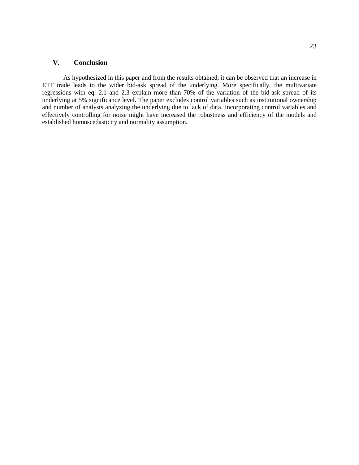## **V. Conclusion**

As hypothesized in this paper and from the results obtained, it can be observed that an increase in ETF trade leads to the wider bid-ask spread of the underlying. More specifically, the multivariate regressions with eq. 2.1 and 2.3 explain more than 70% of the variation of the bid-ask spread of its underlying at 5% significance level. The paper excludes control variables such as institutional ownership and number of analysts analyzing the underlying due to lack of data. Incorporating control variables and effectively controlling for noise might have increased the robustness and efficiency of the models and established homoscedasticity and normality assumption.